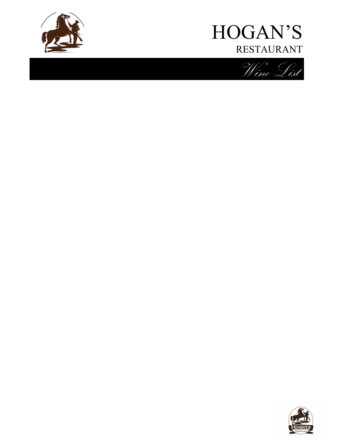



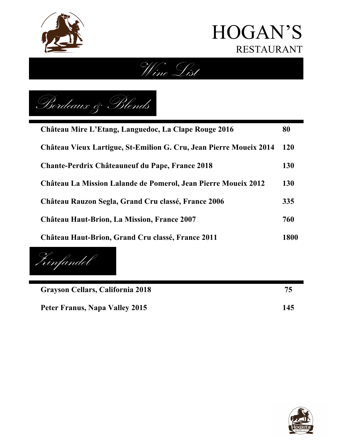





| Château Mire L'Etang, Languedoc, La Clape Rouge 2016               | 80         |
|--------------------------------------------------------------------|------------|
| Château Vieux Lartigue, St-Emilion G. Cru, Jean Pierre Moueix 2014 | <b>120</b> |
| <b>Chante-Perdrix Châteauneuf du Pape, France 2018</b>             | <b>130</b> |
| Château La Mission Lalande de Pomerol, Jean Pierre Moueix 2012     | <b>130</b> |
| Château Rauzon Segla, Grand Cru classé, France 2006                | 335        |
| <b>Château Haut-Brion, La Mission, France 2007</b>                 | 760        |
| Château Haut-Brion, Grand Cru classé, France 2011                  | 1800       |

 $\overline{\phantom{a}}$ Zinfandel

**Grayson Cellars, California 2018 75**

Peter Franus, Napa Valley 2015 145

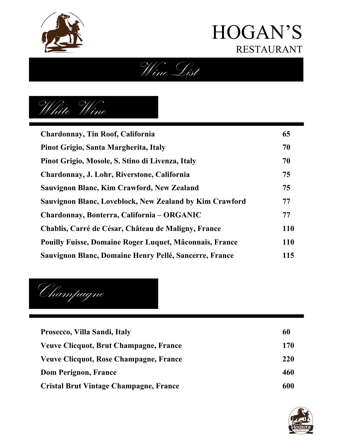





| <b>Chardonnay, Tin Roof, California</b>                 | 65         |
|---------------------------------------------------------|------------|
| Pinot Grigio, Santa Margherita, Italy                   | 70         |
| Pinot Grigio, Mosole, S. Stino di Livenza, Italy        | 70         |
| Chardonnay, J. Lohr, Riverstone, California             | 75         |
| Sauvignon Blanc, Kim Crawford, New Zealand              | 75         |
| Sauvignon Blanc, Loveblock, New Zealand by Kim Crawford | 77         |
| Chardonnay, Bonterra, California – ORGANIC              | 77         |
| Chablis, Carré de César, Château de Maligny, France     | <b>110</b> |
| Pouilly Fuisse, Domaine Roger Luquet, Mâconnais, France | <b>110</b> |
| Sauvignon Blanc, Domaine Henry Pellé, Sancerre, France  | 115        |

Champagne

| Prosecco, Villa Sandi, Italy           | 60  |
|----------------------------------------|-----|
| Veuve Clicquot, Brut Champagne, France | 170 |
| Veuve Clicquot, Rose Champagne, France | 220 |
| Dom Perignon, France                   | 460 |
| Cristal Brut Vintage Champagne, France | 600 |

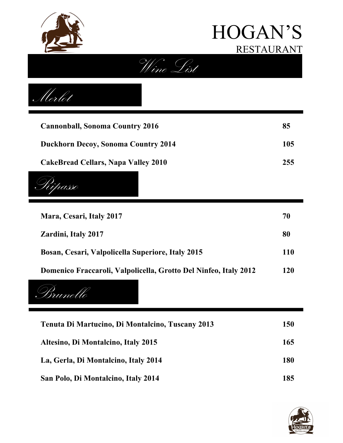



Merlot

| <b>Cannonball, Sonoma Country 2016</b>     | 85  |
|--------------------------------------------|-----|
| <b>Duckhorn Decoy, Sonoma Country 2014</b> | 105 |
| CakeBread Cellars, Napa Valley 2010        | 255 |



| Mara, Cesari, Italy 2017                                         | 70  |
|------------------------------------------------------------------|-----|
| <b>Zardini, Italy 2017</b>                                       | 80  |
| Bosan, Cesari, Valpolicella Superiore, Italy 2015                | 110 |
| Domenico Fraccaroli, Valpolicella, Grotto Del Ninfeo, Italy 2012 | 120 |



| Tenuta Di Martucino, Di Montalcino, Tuscany 2013 | 150 |
|--------------------------------------------------|-----|
| Altesino, Di Montalcino, Italy 2015              | 165 |
| La, Gerla, Di Montalcino, Italy 2014             | 180 |
| San Polo, Di Montalcino, Italy 2014              | 185 |

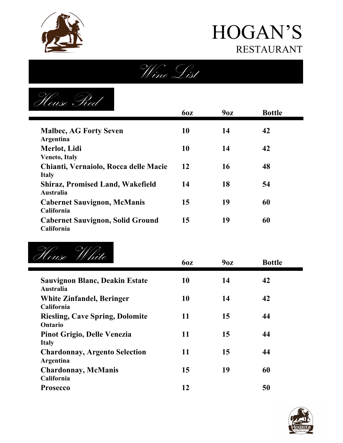





|                                                               | <b>60Z</b> | 9 <sub>0z</sub> | <b>Bottle</b> |
|---------------------------------------------------------------|------------|-----------------|---------------|
| <b>Malbec, AG Forty Seven</b><br>Argentina                    | 10         | 14              | 42            |
| Merlot, Lidi                                                  | 10         | 14              | 42            |
| <b>Veneto, Italy</b><br>Chianti, Vernaiolo, Rocca delle Macie | 12         | 16              | 48            |
| <b>Italy</b><br><b>Shiraz, Promised Land, Wakefield</b>       | 14         | 18              | 54            |
| Australia                                                     |            |                 |               |
| <b>Cabernet Sauvignon, McManis</b><br>California              | 15         | 19              | 60            |
| <b>Cabernet Sauvignon, Solid Ground</b><br>California         | 15         | 19              | 60            |



| T couse VV vive                                           | <b>60Z</b> | 9 <sub>0z</sub> | <b>Bottle</b> |  |
|-----------------------------------------------------------|------------|-----------------|---------------|--|
| <b>Sauvignon Blanc, Deakin Estate</b><br><b>Australia</b> | 10         | 14              | 42            |  |
| <b>White Zinfandel, Beringer</b><br>California            | 10         | 14              | 42            |  |
| <b>Riesling, Cave Spring, Dolomite</b><br>Ontario         | 11         | 15              | 44            |  |
| Pinot Grigio, Delle Venezia<br><b>Italy</b>               | 11         | 15              | 44            |  |
| <b>Chardonnay, Argento Selection</b><br>Argentina         | 11         | 15              | 44            |  |
| <b>Chardonnay, McManis</b><br>California                  | 15         | 19              | 60            |  |
| <b>Prosecco</b>                                           | 12         |                 | 50            |  |

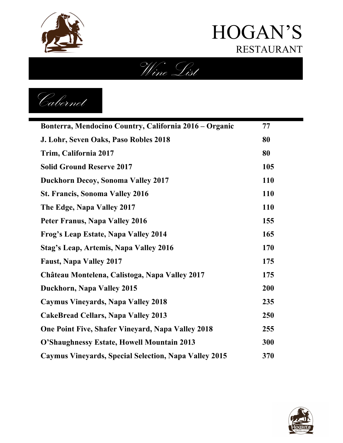

Wine List

Cabernet

| Bonterra, Mendocino Country, California 2016 – Organic       | 77         |
|--------------------------------------------------------------|------------|
| J. Lohr, Seven Oaks, Paso Robles 2018                        | 80         |
| Trim, California 2017                                        | 80         |
| <b>Solid Ground Reserve 2017</b>                             | 105        |
| <b>Duckhorn Decoy, Sonoma Valley 2017</b>                    | 110        |
| <b>St. Francis, Sonoma Valley 2016</b>                       | 110        |
| The Edge, Napa Valley 2017                                   | <b>110</b> |
| <b>Peter Franus, Napa Valley 2016</b>                        | 155        |
| Frog's Leap Estate, Napa Valley 2014                         | 165        |
| Stag's Leap, Artemis, Napa Valley 2016                       | 170        |
| <b>Faust, Napa Valley 2017</b>                               | 175        |
| Château Montelena, Calistoga, Napa Valley 2017               | 175        |
| Duckhorn, Napa Valley 2015                                   | 200        |
| Caymus Vineyards, Napa Valley 2018                           | 235        |
| <b>CakeBread Cellars, Napa Valley 2013</b>                   | 250        |
| <b>One Point Five, Shafer Vineyard, Napa Valley 2018</b>     | 255        |
| O'Shaughnessy Estate, Howell Mountain 2013                   | 300        |
| <b>Caymus Vineyards, Special Selection, Napa Valley 2015</b> | 370        |

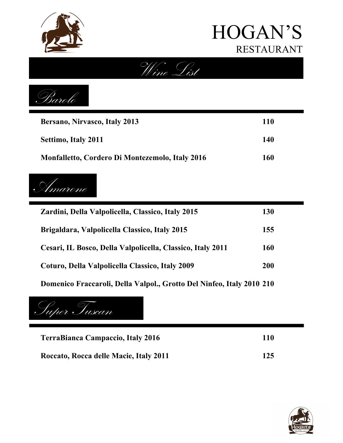

Wine List



| Bersano, Nirvasco, Italy 2013                          | 110 |
|--------------------------------------------------------|-----|
| Settimo, Italy 2011                                    | 140 |
| <b>Monfalletto, Cordero Di Montezemolo, Italy 2016</b> | 160 |



| Zardini, Della Valpolicella, Classico, Italy 2015          | 130        |
|------------------------------------------------------------|------------|
| Brigaldara, Valpolicella Classico, Italy 2015              | 155        |
| Cesari, IL Bosco, Della Valpolicella, Classico, Italy 2011 | 160        |
| Coturo, Della Valpolicella Classico, Italy 2009            | <b>200</b> |
|                                                            |            |

**Domenico Fraccaroli, Della Valpol., Grotto Del Ninfeo, Italy 2010 210**

Super Tuscan

| <b>TerraBianca Campaccio, Italy 2016</b> | 110 |
|------------------------------------------|-----|
| Roccato, Rocca delle Macie, Italy 2011   | 125 |